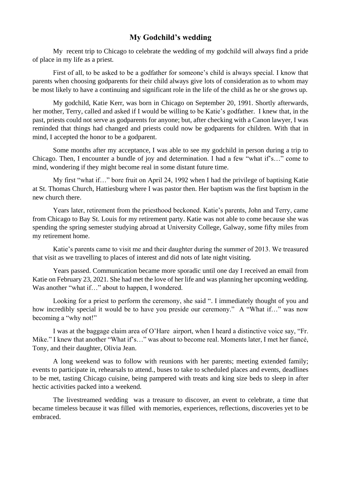## **My Godchild's wedding**

My recent trip to Chicago to celebrate the wedding of my godchild will always find a pride of place in my life as a priest.

First of all, to be asked to be a godfather for someone's child is always special. I know that parents when choosing godparents for their child always give lots of consideration as to whom may be most likely to have a continuing and significant role in the life of the child as he or she grows up.

My godchild, Katie Kerr, was born in Chicago on September 20, 1991. Shortly afterwards, her mother, Terry, called and asked if I would be willing to be Katie's godfather. I knew that, in the past, priests could not serve as godparents for anyone; but, after checking with a Canon lawyer, I was reminded that things had changed and priests could now be godparents for children. With that in mind, I accepted the honor to be a godparent.

Some months after my acceptance, I was able to see my godchild in person during a trip to Chicago. Then, I encounter a bundle of joy and determination. I had a few "what if's…" come to mind, wondering if they might become real in some distant future time.

My first "what if…" bore fruit on April 24, 1992 when I had the privilege of baptising Katie at St. Thomas Church, Hattiesburg where I was pastor then. Her baptism was the first baptism in the new church there.

Years later, retirement from the priesthood beckoned. Katie's parents, John and Terry, came from Chicago to Bay St. Louis for my retirement party. Katie was not able to come because she was spending the spring semester studying abroad at University College, Galway, some fifty miles from my retirement home.

Katie's parents came to visit me and their daughter during the summer of 2013. We treasured that visit as we travelling to places of interest and did nots of late night visiting.

Years passed. Communication became more sporadic until one day I received an email from Katie on February 23, 2021. She had met the love of her life and was planning her upcoming wedding. Was another "what if..." about to happen, I wondered.

Looking for a priest to perform the ceremony, she said ". I immediately thought of you and how incredibly special it would be to have you preside our ceremony." A "What if..." was now becoming a "why not!"

I was at the baggage claim area of O'Hare airport, when I heard a distinctive voice say, "Fr. Mike." I knew that another "What if's…" was about to become real. Moments later, I met her fiancé, Tony, and their daughter, Olivia Jean.

A long weekend was to follow with reunions with her parents; meeting extended family; events to participate in, rehearsals to attend., buses to take to scheduled places and events, deadlines to be met, tasting Chicago cuisine, being pampered with treats and king size beds to sleep in after hectic activities packed into a weekend.

The livestreamed wedding was a treasure to discover, an event to celebrate, a time that became timeless because it was filled with memories, experiences, reflections, discoveries yet to be embraced.